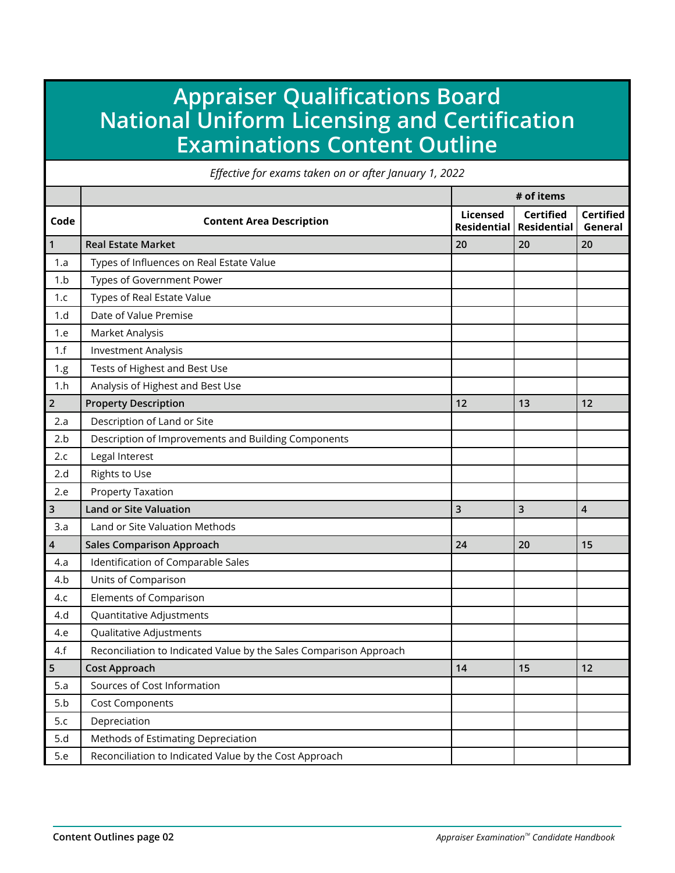## **Appraiser Qualifications Board National Uniform Licensing and Certification Examinations Content Outline**

*Effective for exams taken on or after January 1, 2022*

|                |                                                                    |                                | # of items                             |                             |  |
|----------------|--------------------------------------------------------------------|--------------------------------|----------------------------------------|-----------------------------|--|
| Code           | <b>Content Area Description</b>                                    | Licensed<br><b>Residential</b> | <b>Certified</b><br><b>Residential</b> | <b>Certified</b><br>General |  |
| $\mathbf{1}$   | <b>Real Estate Market</b>                                          | 20                             | 20                                     | 20                          |  |
| 1.a            | Types of Influences on Real Estate Value                           |                                |                                        |                             |  |
| 1.b            | Types of Government Power                                          |                                |                                        |                             |  |
| 1.c            | Types of Real Estate Value                                         |                                |                                        |                             |  |
| 1.d            | Date of Value Premise                                              |                                |                                        |                             |  |
| 1.e            | Market Analysis                                                    |                                |                                        |                             |  |
| 1.f            | <b>Investment Analysis</b>                                         |                                |                                        |                             |  |
| 1.g            | Tests of Highest and Best Use                                      |                                |                                        |                             |  |
| 1.h            | Analysis of Highest and Best Use                                   |                                |                                        |                             |  |
| $\overline{2}$ | <b>Property Description</b>                                        | 12                             | 13                                     | 12                          |  |
| 2.a            | Description of Land or Site                                        |                                |                                        |                             |  |
| 2.b            | Description of Improvements and Building Components                |                                |                                        |                             |  |
| 2.c            | Legal Interest                                                     |                                |                                        |                             |  |
| 2.d            | Rights to Use                                                      |                                |                                        |                             |  |
| 2.e            | <b>Property Taxation</b>                                           |                                |                                        |                             |  |
| 3              | <b>Land or Site Valuation</b>                                      | 3                              | 3                                      | $\overline{4}$              |  |
| 3.a            | Land or Site Valuation Methods                                     |                                |                                        |                             |  |
| 4              | <b>Sales Comparison Approach</b>                                   | 24                             | 20                                     | 15                          |  |
| 4.a            | Identification of Comparable Sales                                 |                                |                                        |                             |  |
| 4.b            | Units of Comparison                                                |                                |                                        |                             |  |
| 4.c            | <b>Elements of Comparison</b>                                      |                                |                                        |                             |  |
| 4.d            | Quantitative Adjustments                                           |                                |                                        |                             |  |
| 4.e            | Qualitative Adjustments                                            |                                |                                        |                             |  |
| 4.f            | Reconciliation to Indicated Value by the Sales Comparison Approach |                                |                                        |                             |  |
| 5              | <b>Cost Approach</b>                                               | 14                             | 15                                     | 12                          |  |
| 5.a            | Sources of Cost Information                                        |                                |                                        |                             |  |
| 5.b            | <b>Cost Components</b>                                             |                                |                                        |                             |  |
| 5.c            | Depreciation                                                       |                                |                                        |                             |  |
| 5.d            | Methods of Estimating Depreciation                                 |                                |                                        |                             |  |
| 5.e            | Reconciliation to Indicated Value by the Cost Approach             |                                |                                        |                             |  |